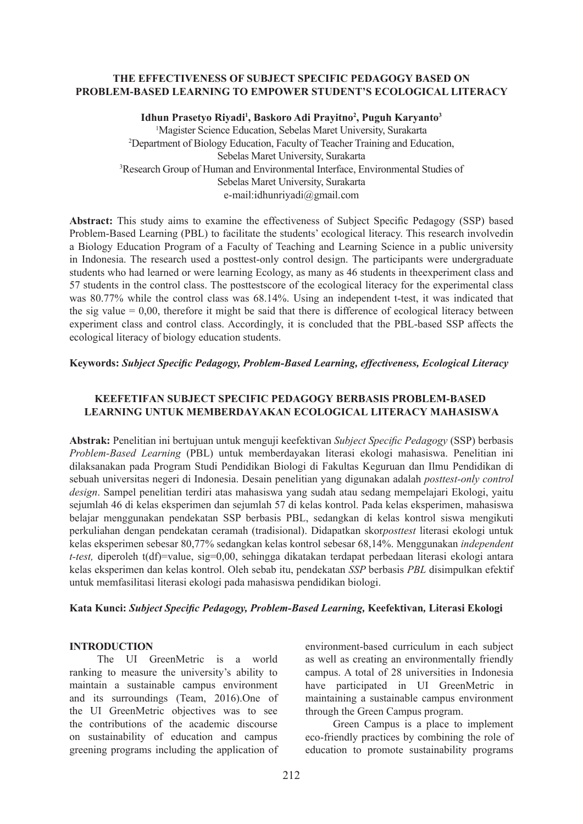## **THE EFFECTIVENESS OF SUBJECT SPECIFIC PEDAGOGY BASED ON PROBLEM-BASED LEARNING TO EMPOWER STUDENT'S ECOLOGICAL LITERACY**

Idhun Prasetyo Riyadi<sup>1</sup>, Baskoro Adi Prayitno<sup>2</sup>, Puguh Karyanto<sup>3</sup> 1 Magister Science Education, Sebelas Maret University, Surakarta 2 Department of Biology Education, Faculty of Teacher Training and Education, Sebelas Maret University, Surakarta 3 Research Group of Human and Environmental Interface, Environmental Studies of Sebelas Maret University, Surakarta e-mail:idhunriyadi@gmail.com

**Abstract:** This study aims to examine the effectiveness of Subject Specific Pedagogy (SSP) based Problem-Based Learning (PBL) to facilitate the students' ecological literacy. This research involvedin a Biology Education Program of a Faculty of Teaching and Learning Science in a public university in Indonesia. The research used a posttest-only control design. The participants were undergraduate students who had learned or were learning Ecology, as many as 46 students in theexperiment class and 57 students in the control class. The posttestscore of the ecological literacy for the experimental class was 80.77% while the control class was 68.14%. Using an independent t-test, it was indicated that the sig value  $= 0.00$ , therefore it might be said that there is difference of ecological literacy between experiment class and control class. Accordingly, it is concluded that the PBL-based SSP affects the ecological literacy of biology education students.

## **Keywords:** *Subject Specific Pedagogy, Problem-Based Learning, effectiveness, Ecological Literacy*

# **KEEFETIFAN SUBJECT SPECIFIC PEDAGOGY BERBASIS PROBLEM-BASED LEARNING UNTUK MEMBERDAYAKAN ECOLOGICAL LITERACY MAHASISWA**

**Abstrak:** Penelitian ini bertujuan untuk menguji keefektivan *Subject Specific Pedagogy* (SSP) berbasis *Problem-Based Learning* (PBL) untuk memberdayakan literasi ekologi mahasiswa. Penelitian ini dilaksanakan pada Program Studi Pendidikan Biologi di Fakultas Keguruan dan Ilmu Pendidikan di sebuah universitas negeri di Indonesia. Desain penelitian yang digunakan adalah *posttest-only control design*. Sampel penelitian terdiri atas mahasiswa yang sudah atau sedang mempelajari Ekologi, yaitu sejumlah 46 di kelas eksperimen dan sejumlah 57 di kelas kontrol. Pada kelas eksperimen, mahasiswa belajar menggunakan pendekatan SSP berbasis PBL, sedangkan di kelas kontrol siswa mengikuti perkuliahan dengan pendekatan ceramah (tradisional). Didapatkan skor*posttest* literasi ekologi untuk kelas eksperimen sebesar 80,77% sedangkan kelas kontrol sebesar 68,14%. Menggunakan *independent t-test,* diperoleh t(df)=value, sig=0,00, sehingga dikatakan terdapat perbedaan literasi ekologi antara kelas eksperimen dan kelas kontrol. Oleh sebab itu, pendekatan *SSP* berbasis *PBL* disimpulkan efektif untuk memfasilitasi literasi ekologi pada mahasiswa pendidikan biologi.

## **Kata Kunci:** *Subject Specific Pedagogy, Problem-Based Learning,* **Keefektivan***,* **Literasi Ekologi**

## **INTRODUCTION**

The UI GreenMetric is a world ranking to measure the university's ability to maintain a sustainable campus environment and its surroundings (Team, 2016).One of the UI GreenMetric objectives was to see the contributions of the academic discourse on sustainability of education and campus greening programs including the application of environment-based curriculum in each subject as well as creating an environmentally friendly campus. A total of 28 universities in Indonesia have participated in UI GreenMetric in maintaining a sustainable campus environment through the Green Campus program.

Green Campus is a place to implement eco-friendly practices by combining the role of education to promote sustainability programs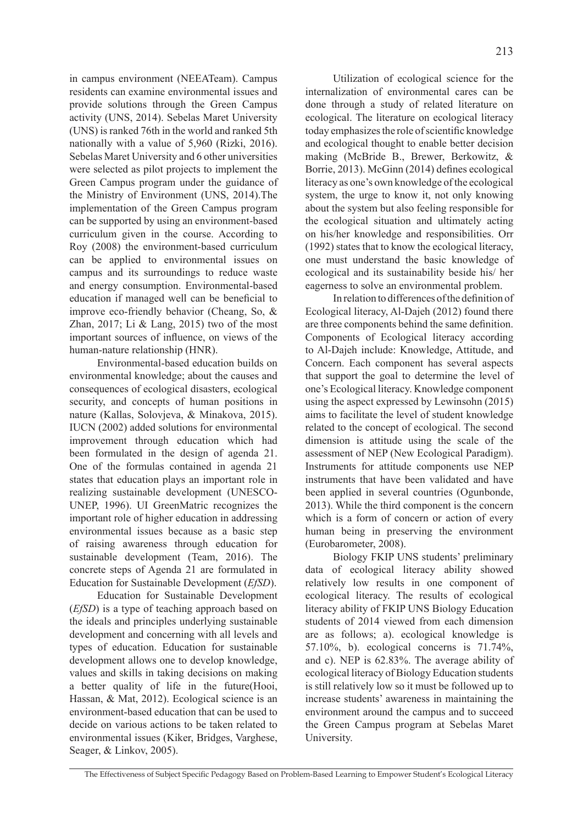in campus environment (NEEATeam). Campus residents can examine environmental issues and provide solutions through the Green Campus activity (UNS, 2014). Sebelas Maret University (UNS) is ranked 76th in the world and ranked 5th nationally with a value of 5,960 (Rizki, 2016). Sebelas Maret University and 6 other universities were selected as pilot projects to implement the Green Campus program under the guidance of the Ministry of Environment (UNS, 2014).The implementation of the Green Campus program can be supported by using an environment-based curriculum given in the course. According to Roy (2008) the environment-based curriculum can be applied to environmental issues on campus and its surroundings to reduce waste and energy consumption. Environmental-based education if managed well can be beneficial to improve eco-friendly behavior (Cheang, So, & Zhan,  $2017$ ; Li & Lang,  $2015$ ) two of the most important sources of influence, on views of the human-nature relationship (HNR).

Environmental-based education builds on environmental knowledge; about the causes and consequences of ecological disasters, ecological security, and concepts of human positions in nature (Kallas, Solovjeva, & Minakova, 2015). IUCN (2002) added solutions for environmental improvement through education which had been formulated in the design of agenda 21. One of the formulas contained in agenda 21 states that education plays an important role in realizing sustainable development (UNESCO-UNEP, 1996). UI GreenMatric recognizes the important role of higher education in addressing environmental issues because as a basic step of raising awareness through education for sustainable development (Team, 2016). The concrete steps of Agenda 21 are formulated in Education for Sustainable Development (*EfSD*).

Education for Sustainable Development (*EfSD*) is a type of teaching approach based on the ideals and principles underlying sustainable development and concerning with all levels and types of education. Education for sustainable development allows one to develop knowledge, values and skills in taking decisions on making a better quality of life in the future(Hooi, Hassan, & Mat, 2012). Ecological science is an environment-based education that can be used to decide on various actions to be taken related to environmental issues (Kiker, Bridges, Varghese, Seager, & Linkov, 2005).

Utilization of ecological science for the internalization of environmental cares can be done through a study of related literature on ecological. The literature on ecological literacy today emphasizes the role of scientific knowledge and ecological thought to enable better decision making (McBride B., Brewer, Berkowitz, & Borrie, 2013). McGinn (2014) defines ecological literacy as one's own knowledge of the ecological system, the urge to know it, not only knowing about the system but also feeling responsible for the ecological situation and ultimately acting on his/her knowledge and responsibilities. Orr (1992) states that to know the ecological literacy, one must understand the basic knowledge of ecological and its sustainability beside his/ her eagerness to solve an environmental problem.

In relation to differences of the definition of Ecological literacy, Al-Dajeh (2012) found there are three components behind the same definition. Components of Ecological literacy according to Al-Dajeh include: Knowledge, Attitude, and Concern. Each component has several aspects that support the goal to determine the level of one's Ecological literacy. Knowledge component using the aspect expressed by Lewinsohn (2015) aims to facilitate the level of student knowledge related to the concept of ecological. The second dimension is attitude using the scale of the assessment of NEP (New Ecological Paradigm). Instruments for attitude components use NEP instruments that have been validated and have been applied in several countries (Ogunbonde, 2013). While the third component is the concern which is a form of concern or action of every human being in preserving the environment (Eurobarometer, 2008).

Biology FKIP UNS students' preliminary data of ecological literacy ability showed relatively low results in one component of ecological literacy. The results of ecological literacy ability of FKIP UNS Biology Education students of 2014 viewed from each dimension are as follows; a). ecological knowledge is 57.10%, b). ecological concerns is 71.74%, and c). NEP is 62.83%. The average ability of ecological literacy of Biology Education students is still relatively low so it must be followed up to increase students' awareness in maintaining the environment around the campus and to succeed the Green Campus program at Sebelas Maret University.

The Effectiveness of Subject Specific Pedagogy Based on Problem-Based Learning to Empower Student's Ecological Literacy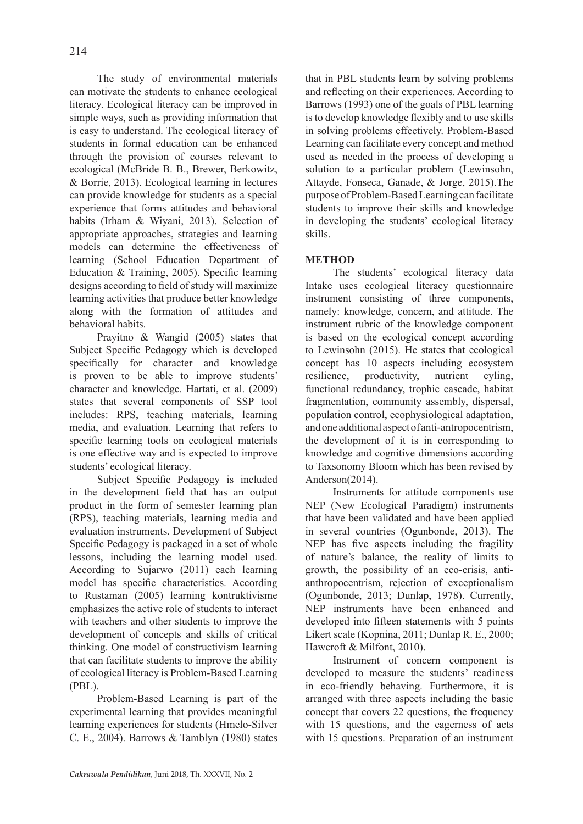The study of environmental materials can motivate the students to enhance ecological literacy. Ecological literacy can be improved in simple ways, such as providing information that is easy to understand. The ecological literacy of students in formal education can be enhanced through the provision of courses relevant to ecological (McBride B. B., Brewer, Berkowitz, & Borrie, 2013). Ecological learning in lectures can provide knowledge for students as a special experience that forms attitudes and behavioral habits (Irham & Wiyani, 2013). Selection of appropriate approaches, strategies and learning models can determine the effectiveness of learning (School Education Department of Education & Training, 2005). Specific learning designs according to field of study will maximize learning activities that produce better knowledge along with the formation of attitudes and behavioral habits.

Prayitno & Wangid (2005) states that Subject Specific Pedagogy which is developed specifically for character and knowledge is proven to be able to improve students' character and knowledge. Hartati, et al. (2009) states that several components of SSP tool includes: RPS, teaching materials, learning media, and evaluation. Learning that refers to specific learning tools on ecological materials is one effective way and is expected to improve students' ecological literacy.

Subject Specific Pedagogy is included in the development field that has an output product in the form of semester learning plan (RPS), teaching materials, learning media and evaluation instruments. Development of Subject Specific Pedagogy is packaged in a set of whole lessons, including the learning model used. According to Sujarwo (2011) each learning model has specific characteristics. According to Rustaman (2005) learning kontruktivisme emphasizes the active role of students to interact with teachers and other students to improve the development of concepts and skills of critical thinking. One model of constructivism learning that can facilitate students to improve the ability of ecological literacy is Problem-Based Learning (PBL).

Problem-Based Learning is part of the experimental learning that provides meaningful learning experiences for students (Hmelo-Silver C. E., 2004). Barrows & Tamblyn (1980) states that in PBL students learn by solving problems and reflecting on their experiences. According to Barrows (1993) one of the goals of PBL learning is to develop knowledge flexibly and to use skills in solving problems effectively. Problem-Based Learning can facilitate every concept and method used as needed in the process of developing a solution to a particular problem (Lewinsohn, Attayde, Fonseca, Ganade, & Jorge, 2015).The purpose of Problem-Based Learning can facilitate students to improve their skills and knowledge in developing the students' ecological literacy skills.

# **METHOD**

The students' ecological literacy data Intake uses ecological literacy questionnaire instrument consisting of three components, namely: knowledge, concern, and attitude. The instrument rubric of the knowledge component is based on the ecological concept according to Lewinsohn (2015). He states that ecological concept has 10 aspects including ecosystem resilience, productivity, nutrient cyling, functional redundancy, trophic cascade, habitat fragmentation, community assembly, dispersal, population control, ecophysiological adaptation, and one additional aspect of anti-antropocentrism, the development of it is in corresponding to knowledge and cognitive dimensions according to Taxsonomy Bloom which has been revised by Anderson(2014).

Instruments for attitude components use NEP (New Ecological Paradigm) instruments that have been validated and have been applied in several countries (Ogunbonde, 2013). The NEP has five aspects including the fragility of nature's balance, the reality of limits to growth, the possibility of an eco-crisis, antianthropocentrism, rejection of exceptionalism (Ogunbonde, 2013; Dunlap, 1978). Currently, NEP instruments have been enhanced and developed into fifteen statements with 5 points Likert scale (Kopnina, 2011; Dunlap R. E., 2000; Hawcroft & Milfont, 2010).

Instrument of concern component is developed to measure the students' readiness in eco-friendly behaving. Furthermore, it is arranged with three aspects including the basic concept that covers 22 questions, the frequency with 15 questions, and the eagerness of acts with 15 questions. Preparation of an instrument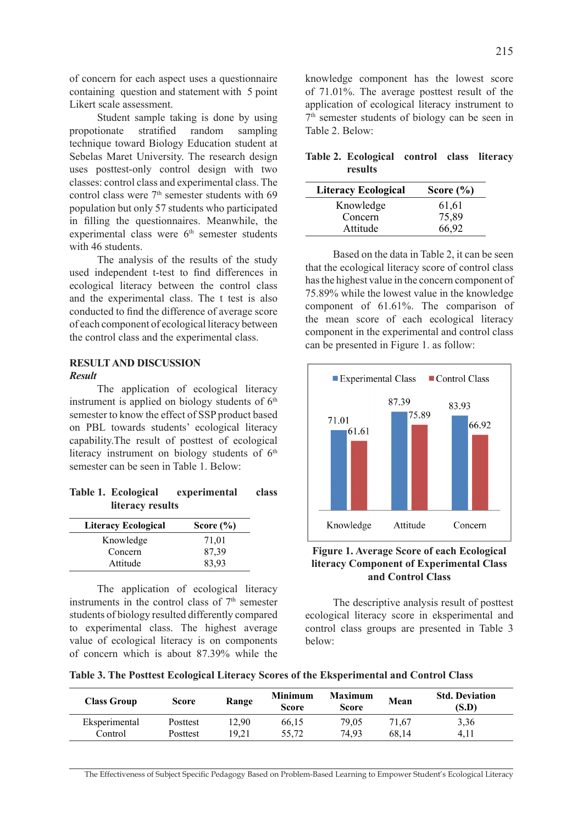of concern for each aspect uses a questionnaire containing question and statement with 5 point Likert scale assessment.

Student sample taking is done by using propotionate stratified random sampling technique toward Biology Education student at Sebelas Maret University. The research design uses posttest-only control design with two classes: control class and experimental class. The control class were  $7<sup>th</sup>$  semester students with 69 population but only 57 students who participated in filling the questionnaires. Meanwhile, the experimental class were  $6<sup>th</sup>$  semester students with 46 students.

The analysis of the results of the study used independent t-test to find differences in ecological literacy between the control class and the experimental class. The t test is also conducted to find the difference of average score of each component of ecological literacy between the control class and the experimental class.

#### **RESULT AND DISCUSSION** *Result*

The application of ecological literacy instrument is applied on biology students of  $6<sup>th</sup>$ semester to know the effect of SSP product based on PBL towards students' ecological literacy capability.The result of posttest of ecological literacy instrument on biology students of  $6<sup>th</sup>$ semester can be seen in Table 1. Below:

## **Table 1. Ecological experimental class literacy results**

| <b>Literacy Ecological</b> | Score $(\% )$ |
|----------------------------|---------------|
| Knowledge                  | 71,01         |
| Concern                    | 87,39         |
| Attitude                   | 83.93         |

The application of ecological literacy instruments in the control class of  $7<sup>th</sup>$  semester students of biology resulted differently compared to experimental class. The highest average value of ecological literacy is on components of concern which is about 87.39% while the knowledge component has the lowest score of 71.01%. The average posttest result of the application of ecological literacy instrument to  $7<sup>th</sup>$  semester students of biology can be seen in Table 2. Below:

**Table 2. Ecological control class literacy results**

| <b>Literacy Ecological</b> | Score $(\% )$ |
|----------------------------|---------------|
| Knowledge                  | 61,61         |
| Concern                    | 75,89         |
| Attitude                   | 66,92         |

Based on the data in Table 2, it can be seen that the ecological literacy score of control class has the highest value in the concern component of 75.89% while the lowest value in the knowledge component of 61.61%. The comparison of the mean score of each ecological literacy component in the experimental and control class can be presented in Figure 1. as follow:



**Figure 1. Average Score of each Ecological literacy Component of Experimental Class and Control Class**

The descriptive analysis result of posttest ecological literacy score in eksperimental and control class groups are presented in Table 3 below:

**Table 3. The Posttest Ecological Literacy Scores of the Eksperimental and Control Class**

| <b>Class Group</b> | Score    | Range | <b>Minimum</b><br><b>Score</b> | <b>Maximum</b><br>Score | Mean  | <b>Std. Deviation</b><br>(S.D) |
|--------------------|----------|-------|--------------------------------|-------------------------|-------|--------------------------------|
| Eksperimental      | Posttest | 12.90 | 66,15                          | 79.05                   | 71.67 | 3.36                           |
| Control            | Posttest | 19.21 | 55.72                          | 74.93                   | 68.14 | 4.11                           |

The Effectiveness of Subject Specific Pedagogy Based on Problem-Based Learning to Empower Student's Ecological Literacy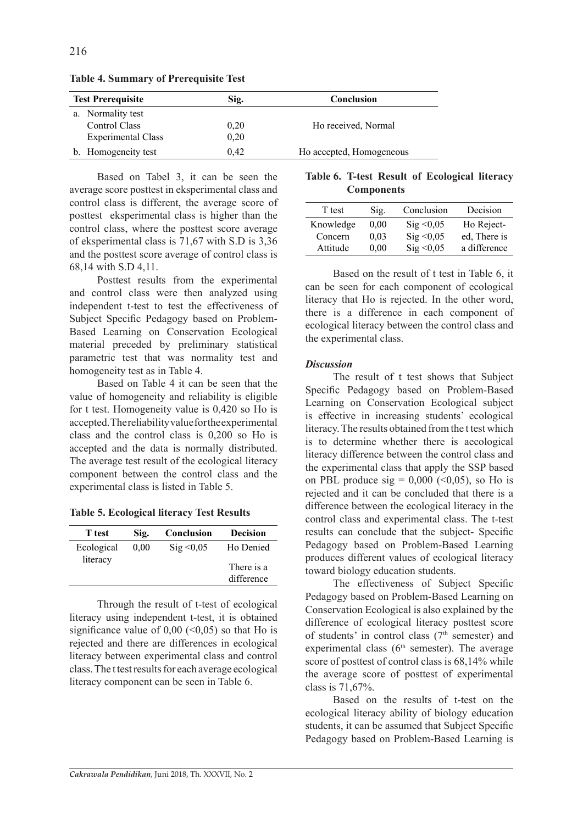| <b>Test Prerequisite</b>  | Sig. | Conclusion               |
|---------------------------|------|--------------------------|
| Normality test<br>a.      |      |                          |
| Control Class             | 0.20 | Ho received, Normal      |
| <b>Experimental Class</b> | 0.20 |                          |
| b. Homogeneity test       | 0.42 | Ho accepted, Homogeneous |

**Table 4. Summary of Prerequisite Test**

Based on Tabel 3, it can be seen the average score posttest in eksperimental class and control class is different, the average score of posttest eksperimental class is higher than the control class, where the posttest score average of eksperimental class is 71,67 with S.D is 3,36 and the posttest score average of control class is 68,14 with S.D 4,11.

Posttest results from the experimental and control class were then analyzed using independent t-test to test the effectiveness of Subject Specific Pedagogy based on Problem-Based Learning on Conservation Ecological material preceded by preliminary statistical parametric test that was normality test and homogeneity test as in Table 4.

Based on Table 4 it can be seen that the value of homogeneity and reliability is eligible for t test. Homogeneity value is 0,420 so Ho is accepted. The reliability value for the experimental class and the control class is 0,200 so Ho is accepted and the data is normally distributed. The average test result of the ecological literacy component between the control class and the experimental class is listed in Table 5.

**Table 5. Ecological literacy Test Results**

| T test                 | Sig. | Conclusion          | <b>Decision</b>         |
|------------------------|------|---------------------|-------------------------|
| Ecological<br>literacy | 0.00 | $\text{Sig} < 0.05$ | Ho Denied<br>There is a |
|                        |      |                     | difference              |

Through the result of t-test of ecological literacy using independent t-test, it is obtained significance value of  $0.00 \leq 0.05$ ) so that Ho is rejected and there are differences in ecological literacy between experimental class and control class. The t test results for each average ecological literacy component can be seen in Table 6.

**Table 6. T-test Result of Ecological literacy Components**

| T test    | Sig. | Conclusion          | Decision     |
|-----------|------|---------------------|--------------|
| Knowledge | 0.00 | $\text{Sig} < 0.05$ | Ho Reject-   |
| Concern   | 0,03 | Sig < 0.05          | ed, There is |
| Attitude  | 0,00 | Sig < 0.05          | a difference |

Based on the result of t test in Table 6, it can be seen for each component of ecological literacy that Ho is rejected. In the other word, there is a difference in each component of ecological literacy between the control class and the experimental class.

# *Discussion*

The result of t test shows that Subject Specific Pedagogy based on Problem-Based Learning on Conservation Ecological subject is effective in increasing students' ecological literacy. The results obtained from the t test which is to determine whether there is aecological literacy difference between the control class and the experimental class that apply the SSP based on PBL produce  $sig = 0.000$  (<0.05), so Ho is rejected and it can be concluded that there is a difference between the ecological literacy in the control class and experimental class. The t-test results can conclude that the subject- Specific Pedagogy based on Problem-Based Learning produces different values of ecological literacy toward biology education students.

The effectiveness of Subject Specific Pedagogy based on Problem-Based Learning on Conservation Ecological is also explained by the difference of ecological literacy posttest score of students' in control class  $(7<sup>th</sup>$  semester) and experimental class  $(6<sup>th</sup>$  semester). The average score of posttest of control class is 68,14% while the average score of posttest of experimental class is 71,67%.

Based on the results of t-test on the ecological literacy ability of biology education students, it can be assumed that Subject Specific Pedagogy based on Problem-Based Learning is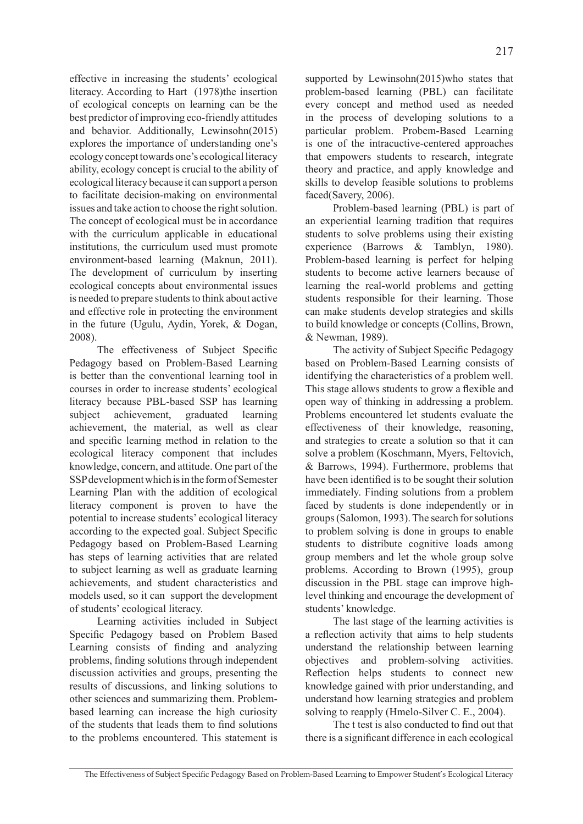effective in increasing the students' ecological literacy. According to Hart (1978)the insertion of ecological concepts on learning can be the best predictor of improving eco-friendly attitudes and behavior. Additionally, Lewinsohn(2015) explores the importance of understanding one's ecology concept towards one's ecological literacy ability, ecology concept is crucial to the ability of ecological literacy because it can support a person to facilitate decision-making on environmental issues and take action to choose the right solution. The concept of ecological must be in accordance with the curriculum applicable in educational institutions, the curriculum used must promote environment-based learning (Maknun, 2011). The development of curriculum by inserting ecological concepts about environmental issues is needed to prepare students to think about active and effective role in protecting the environment in the future (Ugulu, Aydin, Yorek, & Dogan, 2008).

The effectiveness of Subject Specific Pedagogy based on Problem-Based Learning is better than the conventional learning tool in courses in order to increase students' ecological literacy because PBL-based SSP has learning subject achievement, graduated learning achievement, the material, as well as clear and specific learning method in relation to the ecological literacy component that includes knowledge, concern, and attitude. One part of the SSP development which is in the form of Semester Learning Plan with the addition of ecological literacy component is proven to have the potential to increase students' ecological literacy according to the expected goal. Subject Specific Pedagogy based on Problem-Based Learning has steps of learning activities that are related to subject learning as well as graduate learning achievements, and student characteristics and models used, so it can support the development of students' ecological literacy.

Learning activities included in Subject Specific Pedagogy based on Problem Based Learning consists of finding and analyzing problems, finding solutions through independent discussion activities and groups, presenting the results of discussions, and linking solutions to other sciences and summarizing them. Problembased learning can increase the high curiosity of the students that leads them to find solutions to the problems encountered. This statement is supported by Lewinsohn(2015)who states that problem-based learning (PBL) can facilitate every concept and method used as needed in the process of developing solutions to a particular problem. Probem-Based Learning is one of the intracuctive-centered approaches that empowers students to research, integrate theory and practice, and apply knowledge and skills to develop feasible solutions to problems faced(Savery, 2006).

Problem-based learning (PBL) is part of an experiential learning tradition that requires students to solve problems using their existing experience (Barrows & Tamblyn, 1980). Problem-based learning is perfect for helping students to become active learners because of learning the real-world problems and getting students responsible for their learning. Those can make students develop strategies and skills to build knowledge or concepts (Collins, Brown, & Newman, 1989).

The activity of Subject Specific Pedagogy based on Problem-Based Learning consists of identifying the characteristics of a problem well. This stage allows students to grow a flexible and open way of thinking in addressing a problem. Problems encountered let students evaluate the effectiveness of their knowledge, reasoning, and strategies to create a solution so that it can solve a problem (Koschmann, Myers, Feltovich, & Barrows, 1994). Furthermore, problems that have been identified is to be sought their solution immediately. Finding solutions from a problem faced by students is done independently or in groups (Salomon, 1993). The search for solutions to problem solving is done in groups to enable students to distribute cognitive loads among group members and let the whole group solve problems. According to Brown (1995), group discussion in the PBL stage can improve highlevel thinking and encourage the development of students' knowledge.

The last stage of the learning activities is a reflection activity that aims to help students understand the relationship between learning objectives and problem-solving activities. Reflection helps students to connect new knowledge gained with prior understanding, and understand how learning strategies and problem solving to reapply (Hmelo-Silver C. E., 2004).

The t test is also conducted to find out that there is a significant difference in each ecological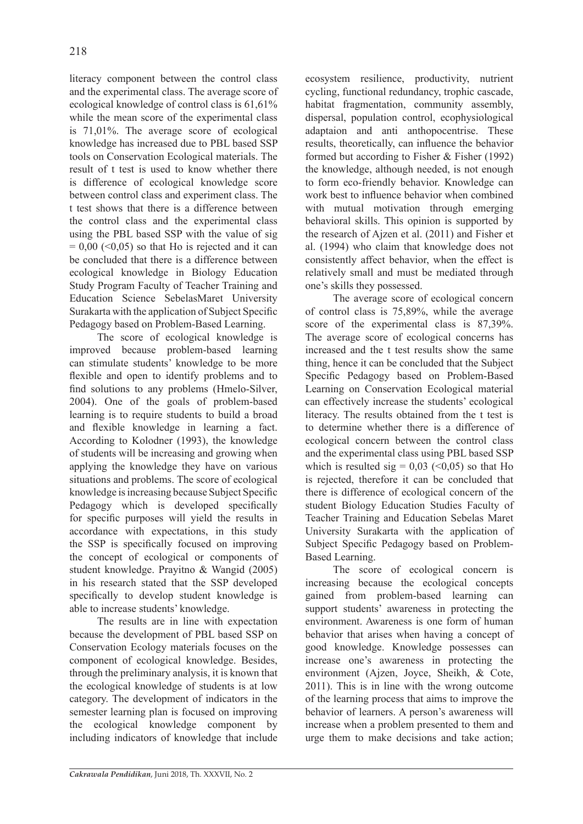literacy component between the control class and the experimental class. The average score of ecological knowledge of control class is 61,61% while the mean score of the experimental class is 71,01%. The average score of ecological knowledge has increased due to PBL based SSP tools on Conservation Ecological materials. The result of t test is used to know whether there is difference of ecological knowledge score between control class and experiment class. The t test shows that there is a difference between the control class and the experimental class using the PBL based SSP with the value of sig  $= 0.00$  (<0.05) so that Ho is rejected and it can be concluded that there is a difference between ecological knowledge in Biology Education Study Program Faculty of Teacher Training and Education Science SebelasMaret University Surakarta with the application of Subject Specific Pedagogy based on Problem-Based Learning.

The score of ecological knowledge is improved because problem-based learning can stimulate students' knowledge to be more flexible and open to identify problems and to find solutions to any problems (Hmelo-Silver, 2004). One of the goals of problem-based learning is to require students to build a broad and flexible knowledge in learning a fact. According to Kolodner (1993), the knowledge of students will be increasing and growing when applying the knowledge they have on various situations and problems. The score of ecological knowledge is increasing because Subject Specific Pedagogy which is developed specifically for specific purposes will yield the results in accordance with expectations, in this study the SSP is specifically focused on improving the concept of ecological or components of student knowledge. Prayitno & Wangid (2005) in his research stated that the SSP developed specifically to develop student knowledge is able to increase students' knowledge.

The results are in line with expectation because the development of PBL based SSP on Conservation Ecology materials focuses on the component of ecological knowledge. Besides, through the preliminary analysis, it is known that the ecological knowledge of students is at low category. The development of indicators in the semester learning plan is focused on improving the ecological knowledge component by including indicators of knowledge that include ecosystem resilience, productivity, nutrient cycling, functional redundancy, trophic cascade, habitat fragmentation, community assembly, dispersal, population control, ecophysiological adaptaion and anti anthopocentrise. These results, theoretically, can influence the behavior formed but according to Fisher & Fisher (1992) the knowledge, although needed, is not enough to form eco-friendly behavior. Knowledge can work best to influence behavior when combined with mutual motivation through emerging behavioral skills. This opinion is supported by the research of Ajzen et al. (2011) and Fisher et al. (1994) who claim that knowledge does not consistently affect behavior, when the effect is relatively small and must be mediated through one's skills they possessed.

The average score of ecological concern of control class is 75,89%, while the average score of the experimental class is 87,39%. The average score of ecological concerns has increased and the t test results show the same thing, hence it can be concluded that the Subject Specific Pedagogy based on Problem-Based Learning on Conservation Ecological material can effectively increase the students' ecological literacy. The results obtained from the t test is to determine whether there is a difference of ecological concern between the control class and the experimental class using PBL based SSP which is resulted  $sig = 0.03$  (<0.05) so that Ho is rejected, therefore it can be concluded that there is difference of ecological concern of the student Biology Education Studies Faculty of Teacher Training and Education Sebelas Maret University Surakarta with the application of Subject Specific Pedagogy based on Problem-Based Learning.

The score of ecological concern is increasing because the ecological concepts gained from problem-based learning can support students' awareness in protecting the environment. Awareness is one form of human behavior that arises when having a concept of good knowledge. Knowledge possesses can increase one's awareness in protecting the environment (Ajzen, Joyce, Sheikh, & Cote, 2011). This is in line with the wrong outcome of the learning process that aims to improve the behavior of learners. A person's awareness will increase when a problem presented to them and urge them to make decisions and take action;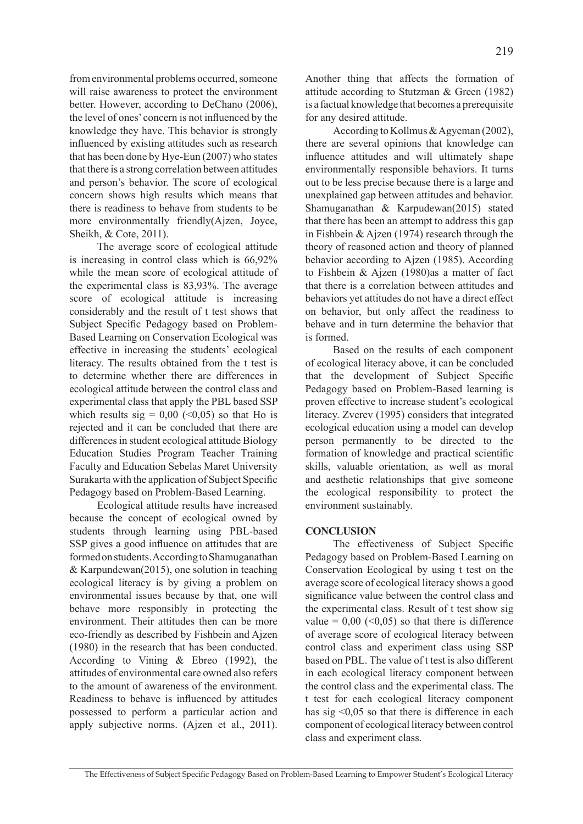from environmental problems occurred, someone will raise awareness to protect the environment better. However, according to DeChano (2006), the level of ones' concern is not influenced by the knowledge they have. This behavior is strongly influenced by existing attitudes such as research that has been done by Hye-Eun (2007) who states that there is a strong correlation between attitudes and person's behavior. The score of ecological concern shows high results which means that there is readiness to behave from students to be more environmentally friendly(Ajzen, Joyce, Sheikh, & Cote, 2011).

The average score of ecological attitude is increasing in control class which is 66,92% while the mean score of ecological attitude of the experimental class is 83,93%. The average score of ecological attitude is increasing considerably and the result of t test shows that Subject Specific Pedagogy based on Problem-Based Learning on Conservation Ecological was effective in increasing the students' ecological literacy. The results obtained from the t test is to determine whether there are differences in ecological attitude between the control class and experimental class that apply the PBL based SSP which results  $sig = 0.00$  (<0.05) so that Ho is rejected and it can be concluded that there are differences in student ecological attitude Biology Education Studies Program Teacher Training Faculty and Education Sebelas Maret University Surakarta with the application of Subject Specific Pedagogy based on Problem-Based Learning.

Ecological attitude results have increased because the concept of ecological owned by students through learning using PBL-based SSP gives a good influence on attitudes that are formed on students. According to Shamuganathan & Karpundewan(2015), one solution in teaching ecological literacy is by giving a problem on environmental issues because by that, one will behave more responsibly in protecting the environment. Their attitudes then can be more eco-friendly as described by Fishbein and Ajzen (1980) in the research that has been conducted. According to Vining & Ebreo (1992), the attitudes of environmental care owned also refers to the amount of awareness of the environment. Readiness to behave is influenced by attitudes possessed to perform a particular action and apply subjective norms. (Ajzen et al., 2011). Another thing that affects the formation of attitude according to Stutzman & Green (1982) is a factual knowledge that becomes a prerequisite for any desired attitude.

According to Kollmus & Agyeman (2002), there are several opinions that knowledge can influence attitudes and will ultimately shape environmentally responsible behaviors. It turns out to be less precise because there is a large and unexplained gap between attitudes and behavior. Shamuganathan & Karpudewan(2015) stated that there has been an attempt to address this gap in Fishbein & Ajzen (1974) research through the theory of reasoned action and theory of planned behavior according to Ajzen (1985). According to Fishbein & Ajzen (1980)as a matter of fact that there is a correlation between attitudes and behaviors yet attitudes do not have a direct effect on behavior, but only affect the readiness to behave and in turn determine the behavior that is formed.

Based on the results of each component of ecological literacy above, it can be concluded that the development of Subject Specific Pedagogy based on Problem-Based learning is proven effective to increase student's ecological literacy. Zverev (1995) considers that integrated ecological education using a model can develop person permanently to be directed to the formation of knowledge and practical scientific skills, valuable orientation, as well as moral and aesthetic relationships that give someone the ecological responsibility to protect the environment sustainably.

## **CONCLUSION**

The effectiveness of Subject Specific Pedagogy based on Problem-Based Learning on Conservation Ecological by using t test on the average score of ecological literacy shows a good significance value between the control class and the experimental class. Result of t test show sig value =  $0.00$  (<0.05) so that there is difference of average score of ecological literacy between control class and experiment class using SSP based on PBL. The value of t test is also different in each ecological literacy component between the control class and the experimental class. The t test for each ecological literacy component has sig <0,05 so that there is difference in each component of ecological literacy between control class and experiment class.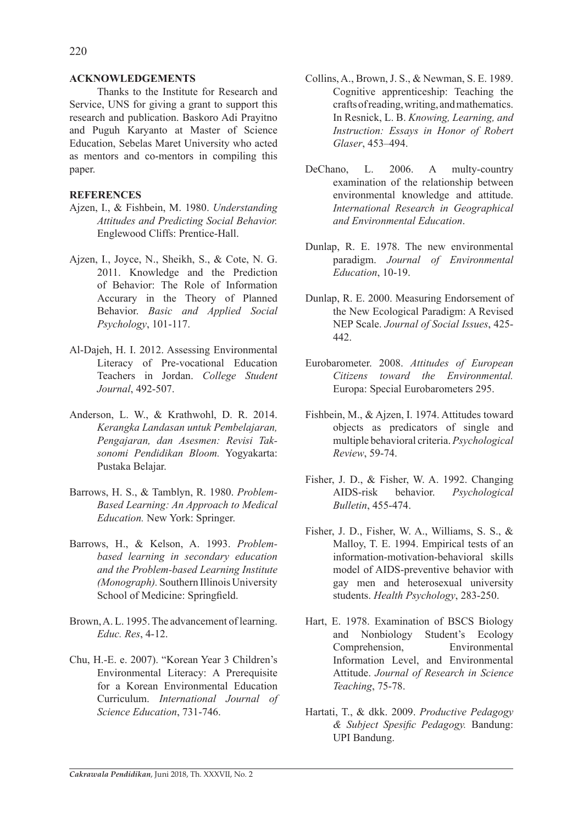## **ACKNOWLEDGEMENTS**

Thanks to the Institute for Research and Service, UNS for giving a grant to support this research and publication. Baskoro Adi Prayitno and Puguh Karyanto at Master of Science Education, Sebelas Maret University who acted as mentors and co-mentors in compiling this paper.

## **REFERENCES**

- Ajzen, I., & Fishbein, M. 1980. *Understanding Attitudes and Predicting Social Behavior.* Englewood Cliffs: Prentice-Hall.
- Ajzen, I., Joyce, N., Sheikh, S., & Cote, N. G. 2011. Knowledge and the Prediction of Behavior: The Role of Information Accurary in the Theory of Planned Behavior. *Basic and Applied Social Psychology*, 101-117.
- Al-Dajeh, H. I. 2012. Assessing Environmental Literacy of Pre-vocational Education Teachers in Jordan. *College Student Journal*, 492-507.
- Anderson, L. W., & Krathwohl, D. R. 2014. *Kerangka Landasan untuk Pembelajaran, Pengajaran, dan Asesmen: Revisi Taksonomi Pendidikan Bloom.* Yogyakarta: Pustaka Belajar.
- Barrows, H. S., & Tamblyn, R. 1980. *Problem-Based Learning: An Approach to Medical Education.* New York: Springer.
- Barrows, H., & Kelson, A. 1993. *Problembased learning in secondary education and the Problem-based Learning Institute (Monograph).* Southern Illinois University School of Medicine: Springfield.
- Brown, A. L. 1995. The advancement of learning. *Educ. Res*, 4-12.
- Chu, H.-E. e. 2007). "Korean Year 3 Children's Environmental Literacy: A Prerequisite for a Korean Environmental Education Curriculum. *International Journal of Science Education*, 731-746.
- Collins, A., Brown, J. S., & Newman, S. E. 1989. Cognitive apprenticeship: Teaching the crafts of reading, writing, and mathematics. In Resnick, L. B. *Knowing, Learning, and Instruction: Essays in Honor of Robert Glaser*, 453–494.
- DeChano, L. 2006. A multy-country examination of the relationship between environmental knowledge and attitude. *International Research in Geographical and Environmental Education*.
- Dunlap, R. E. 1978. The new environmental paradigm. *Journal of Environmental Education*, 10-19.
- Dunlap, R. E. 2000. Measuring Endorsement of the New Ecological Paradigm: A Revised NEP Scale. *Journal of Social Issues*, 425- 442.
- Eurobarometer. 2008. *Attitudes of European Citizens toward the Environmental.* Europa: Special Eurobarometers 295.
- Fishbein, M., & Ajzen, I. 1974. Attitudes toward objects as predicators of single and multiple behavioral criteria. *Psychological Review*, 59-74.
- Fisher, J. D., & Fisher, W. A. 1992. Changing AIDS-risk behavior. *Psychological Bulletin*, 455-474.
- Fisher, J. D., Fisher, W. A., Williams, S. S., & Malloy, T. E. 1994. Empirical tests of an information-motivation-behavioral skills model of AIDS-preventive behavior with gay men and heterosexual university students. *Health Psychology*, 283-250.
- Hart, E. 1978. Examination of BSCS Biology and Nonbiology Student's Ecology Comprehension, Environmental Information Level, and Environmental Attitude. *Journal of Research in Science Teaching*, 75-78.
- Hartati, T., & dkk. 2009. *Productive Pedagogy & Subject Spesific Pedagogy.* Bandung: UPI Bandung.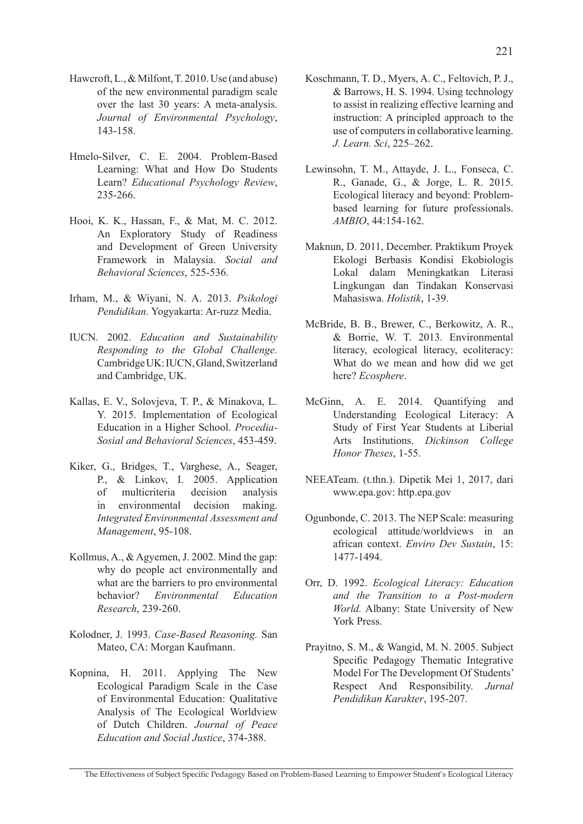- Hawcroft, L., & Milfont, T. 2010. Use (and abuse) of the new environmental paradigm scale over the last 30 years: A meta-analysis. *Journal of Environmental Psychology*, 143-158.
- Hmelo-Silver, C. E. 2004. Problem-Based Learning: What and How Do Students Learn? *Educational Psychology Review*, 235-266.
- Hooi, K. K., Hassan, F., & Mat, M. C. 2012. An Exploratory Study of Readiness and Development of Green University Framework in Malaysia. *Social and Behavioral Sciences*, 525-536.
- Irham, M., & Wiyani, N. A. 2013. *Psikologi Pendidikan.* Yogyakarta: Ar-ruzz Media.
- IUCN. 2002. *Education and Sustainability Responding to the Global Challenge.* Cambridge UK: IUCN, Gland, Switzerland and Cambridge, UK.
- Kallas, E. V., Solovjeva, T. P., & Minakova, L. Y. 2015. Implementation of Ecological Education in a Higher School. *Procedia-Sosial and Behavioral Sciences*, 453-459.
- Kiker, G., Bridges, T., Varghese, A., Seager, P., & Linkov, I. 2005. Application of multicriteria decision analysis in environmental decision making. *Integrated Environmental Assessment and Management*, 95-108.
- Kollmus, A., & Agyemen, J. 2002. Mind the gap: why do people act environmentally and what are the barriers to pro environmental behavior? *Environmental Education Research*, 239-260.
- Kolodner, J. 1993. *Case-Based Reasoning.* San Mateo, CA: Morgan Kaufmann.
- Kopnina, H. 2011. Applying The New Ecological Paradigm Scale in the Case of Environmental Education: Qualitative Analysis of The Ecological Worldview of Dutch Children. *Journal of Peace Education and Social Justice*, 374-388.
- Koschmann, T. D., Myers, A. C., Feltovich, P. J., & Barrows, H. S. 1994. Using technology to assist in realizing effective learning and instruction: A principled approach to the use of computers in collaborative learning. *J. Learn. Sci*, 225–262.
- Lewinsohn, T. M., Attayde, J. L., Fonseca, C. R., Ganade, G., & Jorge, L. R. 2015. Ecological literacy and beyond: Problembased learning for future professionals. *AMBIO*, 44:154-162.
- Maknun, D. 2011, December. Praktikum Proyek Ekologi Berbasis Kondisi Ekobiologis Lokal dalam Meningkatkan Literasi Lingkungan dan Tindakan Konservasi Mahasiswa. *Holistik*, 1-39.
- McBride, B. B., Brewer, C., Berkowitz, A. R., & Borrie, W. T. 2013. Environmental literacy, ecological literacy, ecoliteracy: What do we mean and how did we get here? *Ecosphere*.
- McGinn, A. E. 2014. Quantifying and Understanding Ecological Literacy: A Study of First Year Students at Liberial Arts Institutions. *Dickinson College Honor Theses*, 1-55.
- NEEATeam. (t.thn.). Dipetik Mei 1, 2017, dari www.epa.gov: http.epa.gov
- Ogunbonde, C. 2013. The NEP Scale: measuring ecological attitude/worldviews in an african context. *Enviro Dev Sustain*, 15: 1477-1494.
- Orr, D. 1992. *Ecological Literacy: Education and the Transition to a Post-modern World.* Albany: State University of New York Press.
- Prayitno, S. M., & Wangid, M. N. 2005. Subject Specific Pedagogy Thematic Integrative Model For The Development Of Students' Respect And Responsibility. *Jurnal Pendidikan Karakter*, 195-207.